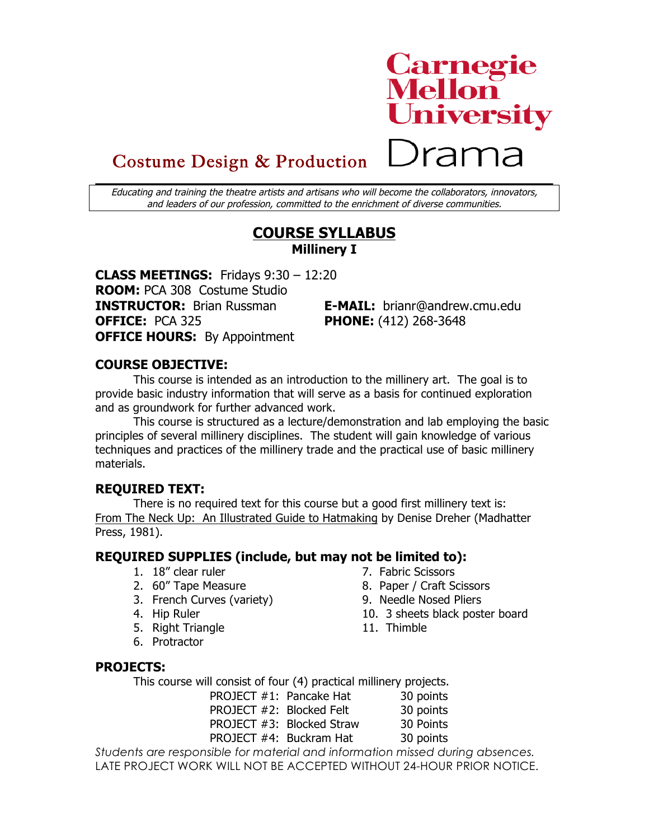

# Costume Design & Production

Educating and training the theatre artists and artisans who will become the collaborators, innovators, and leaders of our profession, committed to the enrichment of diverse communities.

## **COURSE SYLLABUS Millinery I**

**CLASS MEETINGS:** Fridays 9:30 – 12:20 **ROOM:** PCA 308 Costume Studio **INSTRUCTOR:** Brian Russman **E-MAIL:** brianr@andrew.cmu.edu **OFFICE:** PCA 325 **PHONE:** (412) 268-3648 **OFFICE HOURS:** By Appointment

#### **COURSE OBJECTIVE:**

This course is intended as an introduction to the millinery art. The goal is to provide basic industry information that will serve as a basis for continued exploration and as groundwork for further advanced work.

This course is structured as a lecture/demonstration and lab employing the basic principles of several millinery disciplines. The student will gain knowledge of various techniques and practices of the millinery trade and the practical use of basic millinery materials.

## **REQUIRED TEXT:**

There is no required text for this course but a good first millinery text is: From The Neck Up: An Illustrated Guide to Hatmaking by Denise Dreher (Madhatter Press, 1981).

#### **REQUIRED SUPPLIES (include, but may not be limited to):**

- 1. 18" clear ruler 7. Fabric Scissors
- 2. 60" Tape Measure 8. Paper / Craft Scissors
- 3. French Curves (variety) 9. Needle Nosed Pliers
- 
- 5. Right Triangle 11. Thimble
- 6. Protractor
- 
- 
- 4. Hip Ruler 10. 3 sheets black poster board
	-

## **PROJECTS:**

This course will consist of four (4) practical millinery projects.

PROJECT #1: Pancake Hat 30 points PROJECT #2: Blocked Felt 30 points PROJECT #3: Blocked Straw 30 Points PROJECT #4: Buckram Hat 30 points

*Students are responsible for material and information missed during absences.* LATE PROJECT WORK WILL NOT BE ACCEPTED WITHOUT 24-HOUR PRIOR NOTICE.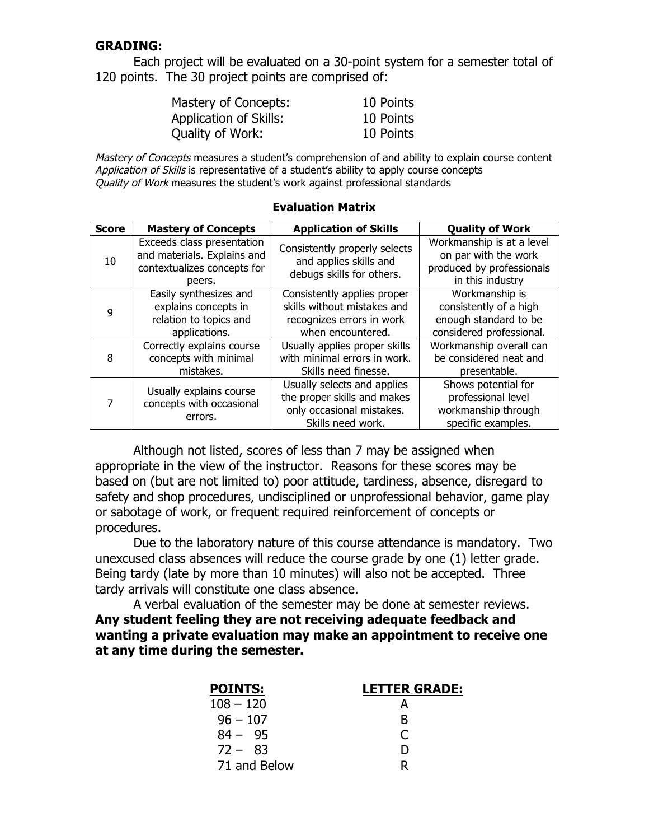#### **GRADING:**

Each project will be evaluated on a 30-point system for a semester total of 120 points. The 30 project points are comprised of:

| Mastery of Concepts:   | 10 Points |
|------------------------|-----------|
| Application of Skills: | 10 Points |
| Quality of Work:       | 10 Points |

Mastery of Concepts measures a student's comprehension of and ability to explain course content Application of Skills is representative of a student's ability to apply course concepts Quality of Work measures the student's work against professional standards

| <b>Score</b> | <b>Mastery of Concepts</b>                                                                         | <b>Application of Skills</b>                                                                                 | <b>Quality of Work</b>                                                                             |
|--------------|----------------------------------------------------------------------------------------------------|--------------------------------------------------------------------------------------------------------------|----------------------------------------------------------------------------------------------------|
| 10           | Exceeds class presentation<br>and materials. Explains and<br>contextualizes concepts for<br>peers. | Consistently properly selects<br>and applies skills and<br>debugs skills for others.                         | Workmanship is at a level<br>on par with the work<br>produced by professionals<br>in this industry |
| q            | Easily synthesizes and<br>explains concepts in<br>relation to topics and<br>applications.          | Consistently applies proper<br>skills without mistakes and<br>recognizes errors in work<br>when encountered. | Workmanship is<br>consistently of a high<br>enough standard to be<br>considered professional.      |
| 8            | Correctly explains course<br>concepts with minimal<br>mistakes.                                    | Usually applies proper skills<br>with minimal errors in work.<br>Skills need finesse.                        | Workmanship overall can<br>be considered neat and<br>presentable.                                  |
|              | Usually explains course<br>concepts with occasional<br>errors.                                     | Usually selects and applies<br>the proper skills and makes<br>only occasional mistakes.<br>Skills need work. | Shows potential for<br>professional level<br>workmanship through<br>specific examples.             |

#### **Evaluation Matrix**

Although not listed, scores of less than 7 may be assigned when appropriate in the view of the instructor. Reasons for these scores may be based on (but are not limited to) poor attitude, tardiness, absence, disregard to safety and shop procedures, undisciplined or unprofessional behavior, game play or sabotage of work, or frequent required reinforcement of concepts or procedures.

Due to the laboratory nature of this course attendance is mandatory. Two unexcused class absences will reduce the course grade by one (1) letter grade. Being tardy (late by more than 10 minutes) will also not be accepted. Three tardy arrivals will constitute one class absence.

A verbal evaluation of the semester may be done at semester reviews. **Any student feeling they are not receiving adequate feedback and wanting a private evaluation may make an appointment to receive one at any time during the semester.**

| POINTS:      | <b>LETTER GRADE:</b> |
|--------------|----------------------|
| $108 - 120$  |                      |
| $96 - 107$   | R                    |
| $84 - 95$    | C                    |
| $72 - 83$    | Ð                    |
| 71 and Below | R                    |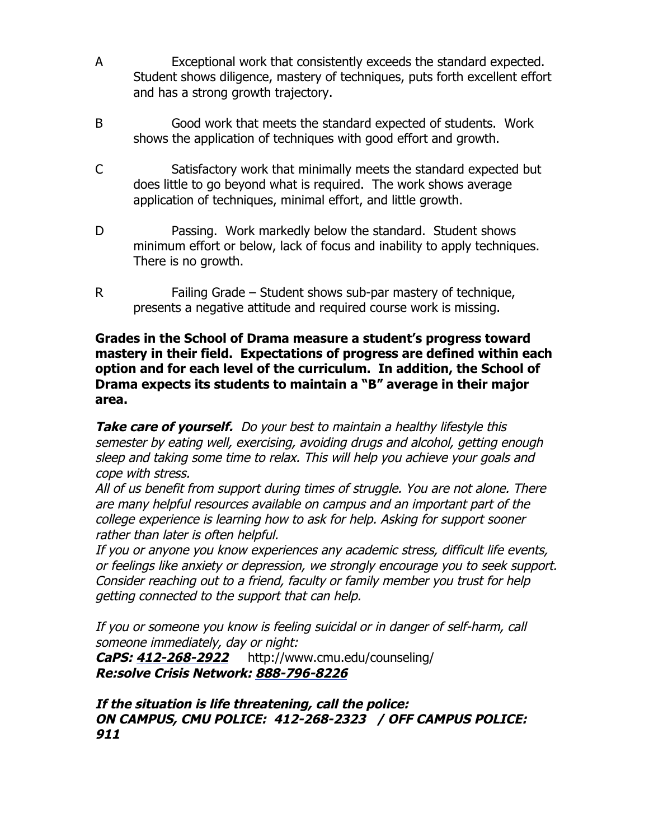- A Exceptional work that consistently exceeds the standard expected. Student shows diligence, mastery of techniques, puts forth excellent effort and has a strong growth trajectory.
- B Good work that meets the standard expected of students. Work shows the application of techniques with good effort and growth.
- C Satisfactory work that minimally meets the standard expected but does little to go beyond what is required. The work shows average application of techniques, minimal effort, and little growth.
- D Passing. Work markedly below the standard. Student shows minimum effort or below, lack of focus and inability to apply techniques. There is no growth.
- R Failing Grade Student shows sub-par mastery of technique, presents a negative attitude and required course work is missing.

#### **Grades in the School of Drama measure a student's progress toward mastery in their field. Expectations of progress are defined within each option and for each level of the curriculum. In addition, the School of Drama expects its students to maintain a "B" average in their major area.**

Take care of yourself. Do your best to maintain a healthy lifestyle this semester by eating well, exercising, avoiding drugs and alcohol, getting enough sleep and taking some time to relax. This will help you achieve your goals and cope with stress.

All of us benefit from support during times of struggle. You are not alone. There are many helpful resources available on campus and an important part of the college experience is learning how to ask for help. Asking for support sooner rather than later is often helpful.

If you or anyone you know experiences any academic stress, difficult life events, or feelings like anxiety or depression, we strongly encourage you to seek support. Consider reaching out to a friend, faculty or family member you trust for help getting connected to the support that can help.

If you or someone you know is feeling suicidal or in danger of self-harm, call someone immediately, day or night:

**CaPS: 412-268-2922** http://www.cmu.edu/counseling/ **Re:solve Crisis Network: 888-796-8226**

#### **If the situation is life threatening, call the police: ON CAMPUS, CMU POLICE: 412-268-2323 / OFF CAMPUS POLICE: 911**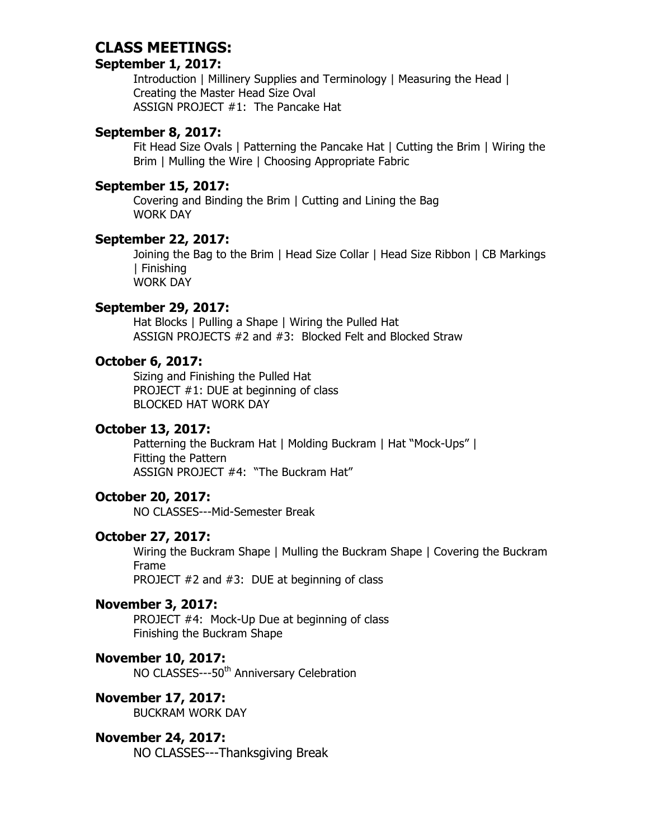# **CLASS MEETINGS:**

## **September 1, 2017:**

Introduction | Millinery Supplies and Terminology | Measuring the Head | Creating the Master Head Size Oval ASSIGN PROJECT #1: The Pancake Hat

#### **September 8, 2017:**

Fit Head Size Ovals | Patterning the Pancake Hat | Cutting the Brim | Wiring the Brim | Mulling the Wire | Choosing Appropriate Fabric

#### **September 15, 2017:**

Covering and Binding the Brim | Cutting and Lining the Bag WORK DAY

#### **September 22, 2017:**

Joining the Bag to the Brim | Head Size Collar | Head Size Ribbon | CB Markings | Finishing WORK DAY

#### **September 29, 2017:**

Hat Blocks | Pulling a Shape | Wiring the Pulled Hat ASSIGN PROJECTS #2 and #3: Blocked Felt and Blocked Straw

#### **October 6, 2017:**

Sizing and Finishing the Pulled Hat PROJECT #1: DUE at beginning of class BLOCKED HAT WORK DAY

#### **October 13, 2017:**

Patterning the Buckram Hat | Molding Buckram | Hat "Mock-Ups" | Fitting the Pattern ASSIGN PROJECT #4: "The Buckram Hat"

## **October 20, 2017:**

NO CLASSES---Mid-Semester Break

## **October 27, 2017:**

Wiring the Buckram Shape | Mulling the Buckram Shape | Covering the Buckram Frame

PROJECT #2 and #3: DUE at beginning of class

## **November 3, 2017:**

PROJECT #4: Mock-Up Due at beginning of class Finishing the Buckram Shape

#### **November 10, 2017:**

NO CLASSES---50<sup>th</sup> Anniversary Celebration

#### **November 17, 2017:**

BUCKRAM WORK DAY

#### **November 24, 2017:**

NO CLASSES---Thanksgiving Break